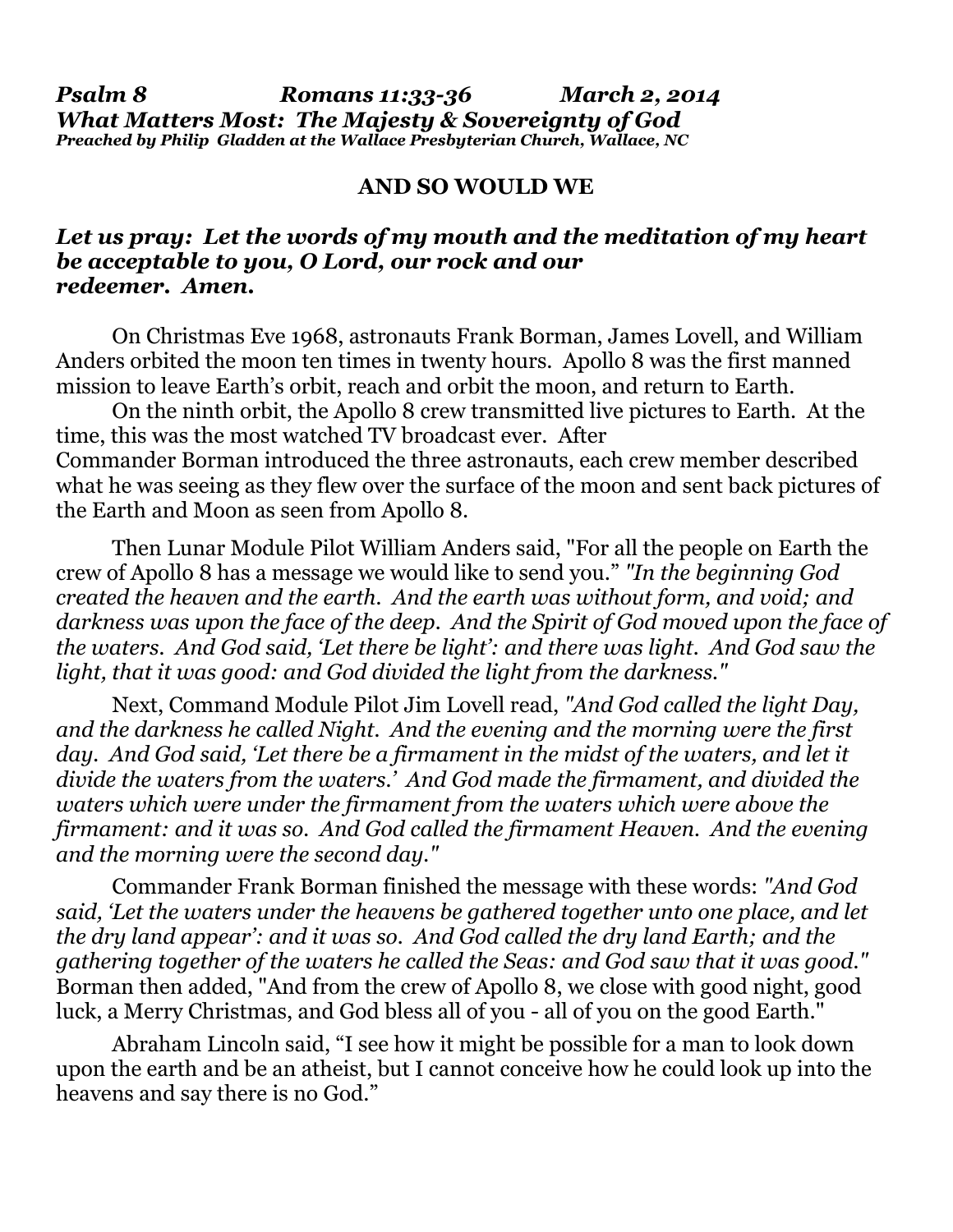*Psalm 8 Romans 11:33-36 March 2, 2014 What Matters Most: The Majesty & Sovereignty of God Preached by Philip Gladden at the Wallace Presbyterian Church, Wallace, NC*

## **AND SO WOULD WE**

## *Let us pray: Let the words of my mouth and the meditation of my heart be acceptable to you, O Lord, our rock and our redeemer. Amen.*

 On Christmas Eve 1968, astronauts Frank Borman, James Lovell, and William Anders orbited the moon ten times in twenty hours. Apollo 8 was the first manned mission to leave Earth's orbit, reach and orbit the moon, and return to Earth.

 On the ninth orbit, the Apollo 8 crew transmitted live pictures to Earth. At the time, this was the most watched TV broadcast ever. After Commander Borman introduced the three astronauts, each crew member described what he was seeing as they flew over the surface of the moon and sent back pictures of the Earth and Moon as seen from Apollo 8.

Then Lunar Module Pilot William Anders said, "For all the people on Earth the crew of Apollo 8 has a message we would like to send you." *"In the beginning God created the heaven and the earth. And the earth was without form, and void; and darkness was upon the face of the deep. And the Spirit of God moved upon the face of the waters. And God said, 'Let there be light': and there was light. And God saw the light, that it was good: and God divided the light from the darkness."*

 Next, Command Module Pilot Jim Lovell read, *"And God called the light Day, and the darkness he called Night. And the evening and the morning were the first*  day. And God said, 'Let there be a firmament in the midst of the waters, and let it *divide the waters from the waters.' And God made the firmament, and divided the waters which were under the firmament from the waters which were above the firmament: and it was so. And God called the firmament Heaven. And the evening and the morning were the second day."*

Commander Frank Borman finished the message with these words: *"And God said, 'Let the waters under the heavens be gathered together unto one place, and let the dry land appear': and it was so. And God called the dry land Earth; and the gathering together of the waters he called the Seas: and God saw that it was good."* Borman then added, "And from the crew of Apollo 8, we close with good night, good luck, a Merry Christmas, and God bless all of you - all of you on the good Earth."

 Abraham Lincoln said, "I see how it might be possible for a man to look down upon the earth and be an atheist, but I cannot conceive how he could look up into the heavens and say there is no God."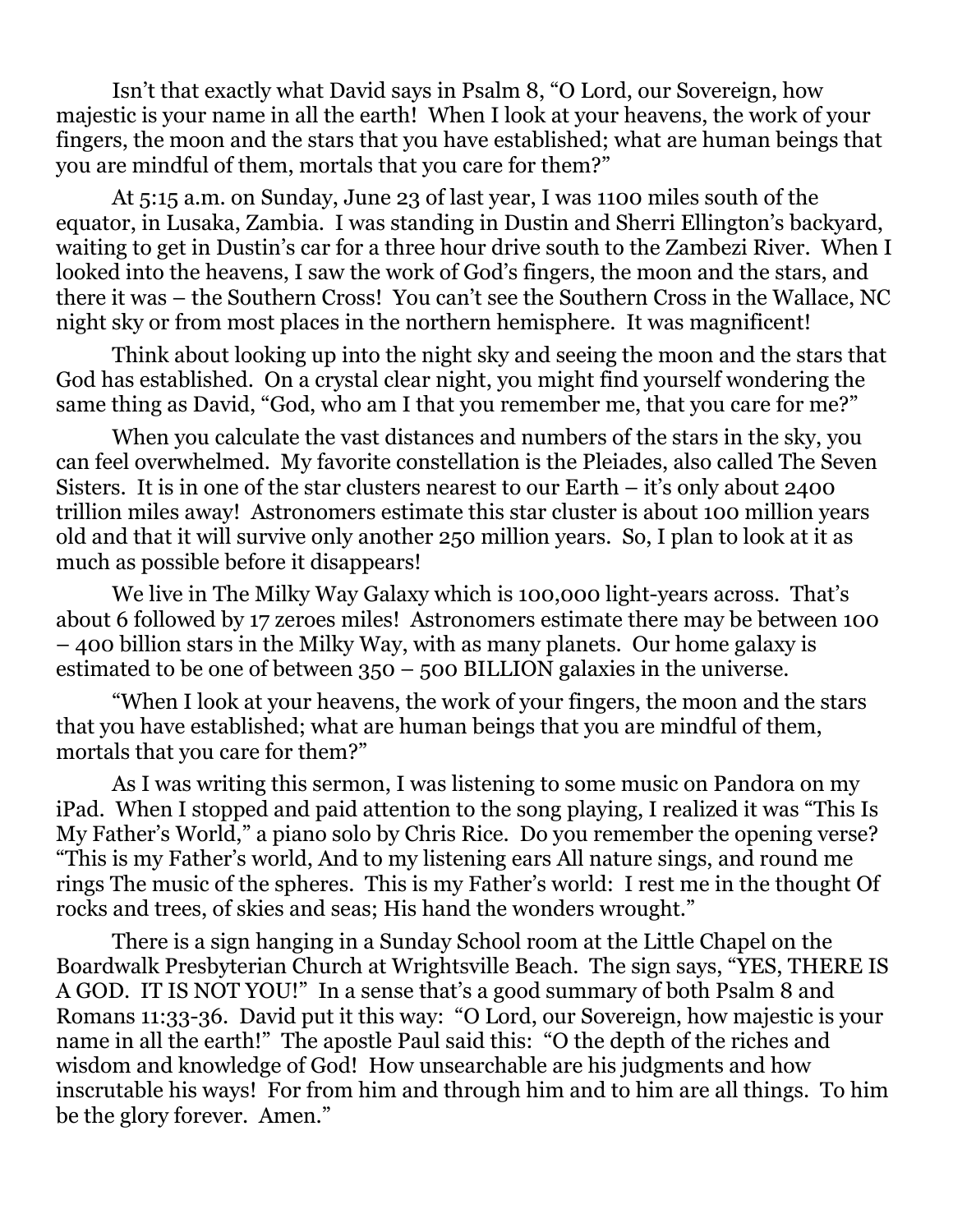Isn't that exactly what David says in Psalm 8, "O Lord, our Sovereign, how majestic is your name in all the earth! When I look at your heavens, the work of your fingers, the moon and the stars that you have established; what are human beings that you are mindful of them, mortals that you care for them?"

 At 5:15 a.m. on Sunday, June 23 of last year, I was 1100 miles south of the equator, in Lusaka, Zambia. I was standing in Dustin and Sherri Ellington's backyard, waiting to get in Dustin's car for a three hour drive south to the Zambezi River. When I looked into the heavens, I saw the work of God's fingers, the moon and the stars, and there it was – the Southern Cross! You can't see the Southern Cross in the Wallace, NC night sky or from most places in the northern hemisphere. It was magnificent!

 Think about looking up into the night sky and seeing the moon and the stars that God has established. On a crystal clear night, you might find yourself wondering the same thing as David, "God, who am I that you remember me, that you care for me?"

 When you calculate the vast distances and numbers of the stars in the sky, you can feel overwhelmed. My favorite constellation is the Pleiades, also called The Seven Sisters. It is in one of the star clusters nearest to our Earth – it's only about 2400 trillion miles away! Astronomers estimate this star cluster is about 100 million years old and that it will survive only another 250 million years. So, I plan to look at it as much as possible before it disappears!

We live in The Milky Way Galaxy which is 100,000 light-years across. That's about 6 followed by 17 zeroes miles! Astronomers estimate there may be between 100 – 400 billion stars in the Milky Way, with as many planets. Our home galaxy is estimated to be one of between 350 – 500 BILLION galaxies in the universe.

 "When I look at your heavens, the work of your fingers, the moon and the stars that you have established; what are human beings that you are mindful of them, mortals that you care for them?"

As I was writing this sermon, I was listening to some music on Pandora on my iPad. When I stopped and paid attention to the song playing, I realized it was "This Is My Father's World," a piano solo by Chris Rice. Do you remember the opening verse? "This is my Father's world, And to my listening ears All nature sings, and round me rings The music of the spheres. This is my Father's world: I rest me in the thought Of rocks and trees, of skies and seas; His hand the wonders wrought."

 There is a sign hanging in a Sunday School room at the Little Chapel on the Boardwalk Presbyterian Church at Wrightsville Beach. The sign says, "YES, THERE IS A GOD. IT IS NOT YOU!" In a sense that's a good summary of both Psalm 8 and Romans 11:33-36. David put it this way: "O Lord, our Sovereign, how majestic is your name in all the earth!" The apostle Paul said this: "O the depth of the riches and wisdom and knowledge of God! How unsearchable are his judgments and how inscrutable his ways! For from him and through him and to him are all things. To him be the glory forever. Amen."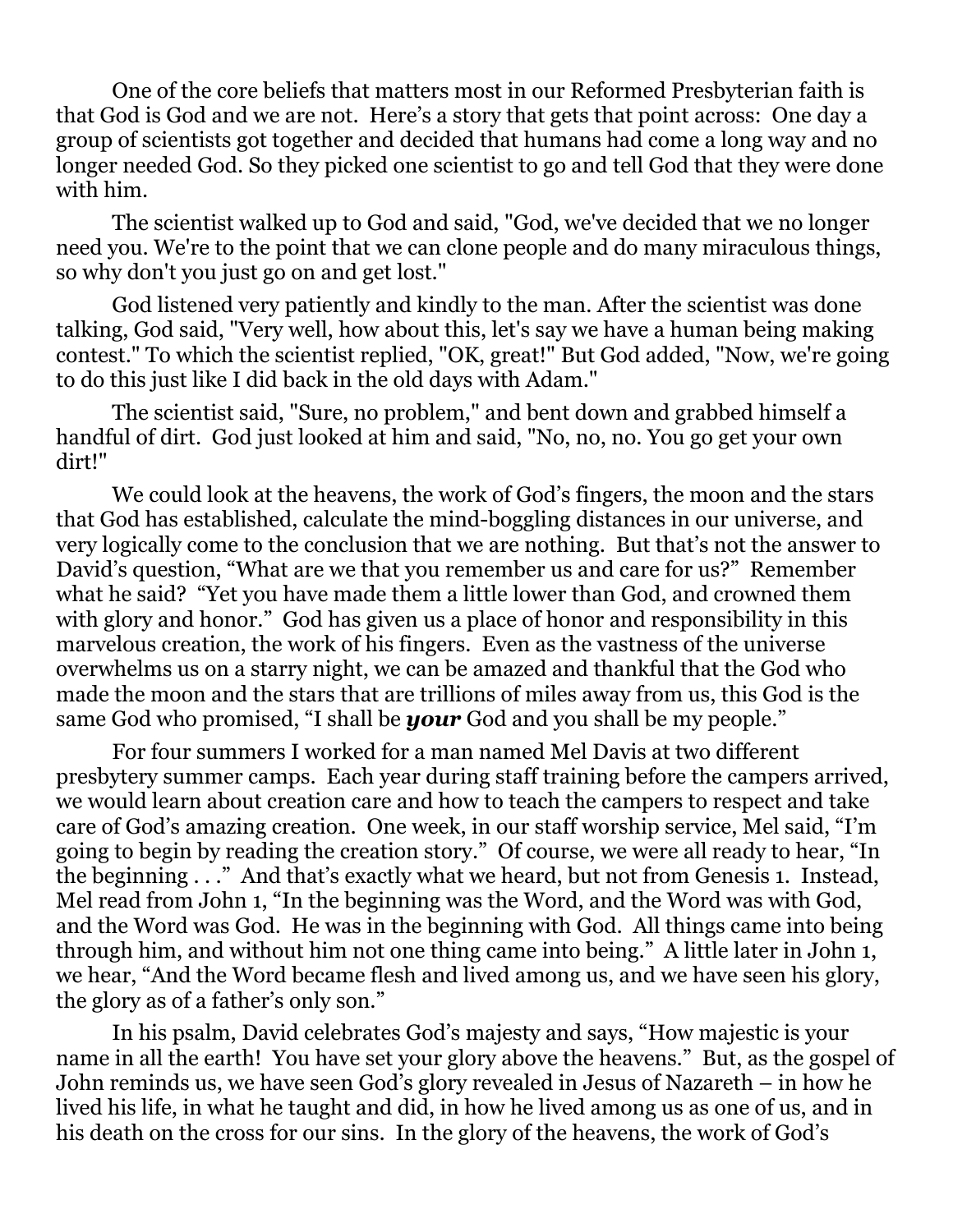One of the core beliefs that matters most in our Reformed Presbyterian faith is that God is God and we are not. Here's a story that gets that point across: One day a group of scientists got together and decided that humans had come a long way and no longer needed God. So they picked one scientist to go and tell God that they were done with him.

The scientist walked up to God and said, "God, we've decided that we no longer need you. We're to the point that we can clone people and do many miraculous things, so why don't you just go on and get lost."

God listened very patiently and kindly to the man. After the scientist was done talking, God said, "Very well, how about this, let's say we have a human being making contest." To which the scientist replied, "OK, great!" But God added, "Now, we're going to do this just like I did back in the old days with Adam."

The scientist said, "Sure, no problem," and bent down and grabbed himself a handful of dirt. God just looked at him and said, "No, no, no. You go get your own dirt!"

We could look at the heavens, the work of God's fingers, the moon and the stars that God has established, calculate the mind-boggling distances in our universe, and very logically come to the conclusion that we are nothing. But that's not the answer to David's question, "What are we that you remember us and care for us?" Remember what he said? "Yet you have made them a little lower than God, and crowned them with glory and honor." God has given us a place of honor and responsibility in this marvelous creation, the work of his fingers. Even as the vastness of the universe overwhelms us on a starry night, we can be amazed and thankful that the God who made the moon and the stars that are trillions of miles away from us, this God is the same God who promised, "I shall be *your* God and you shall be my people."

For four summers I worked for a man named Mel Davis at two different presbytery summer camps. Each year during staff training before the campers arrived, we would learn about creation care and how to teach the campers to respect and take care of God's amazing creation. One week, in our staff worship service, Mel said, "I'm going to begin by reading the creation story." Of course, we were all ready to hear, "In the beginning . . ." And that's exactly what we heard, but not from Genesis 1. Instead, Mel read from John 1, "In the beginning was the Word, and the Word was with God, and the Word was God. He was in the beginning with God. All things came into being through him, and without him not one thing came into being." A little later in John 1, we hear, "And the Word became flesh and lived among us, and we have seen his glory, the glory as of a father's only son."

In his psalm, David celebrates God's majesty and says, "How majestic is your name in all the earth! You have set your glory above the heavens." But, as the gospel of John reminds us, we have seen God's glory revealed in Jesus of Nazareth – in how he lived his life, in what he taught and did, in how he lived among us as one of us, and in his death on the cross for our sins. In the glory of the heavens, the work of God's